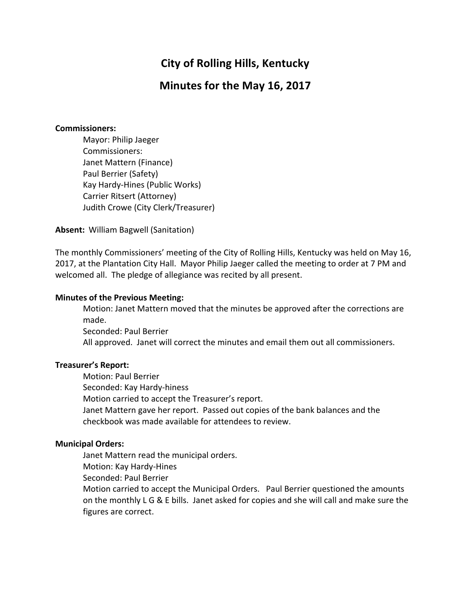# **City of Rolling Hills, Kentucky**

# **Minutes for the May 16, 2017**

#### **Commissioners:**

Mayor: Philip Jaeger Commissioners: Janet Mattern (Finance) Paul Berrier (Safety) Kay Hardy-Hines (Public Works) Carrier Ritsert (Attorney) Judith Crowe (City Clerk/Treasurer)

**Absent:** William Bagwell (Sanitation)

The monthly Commissioners' meeting of the City of Rolling Hills, Kentucky was held on May 16, 2017, at the Plantation City Hall. Mayor Philip Jaeger called the meeting to order at 7 PM and welcomed all. The pledge of allegiance was recited by all present.

#### **Minutes of the Previous Meeting:**

Motion: Janet Mattern moved that the minutes be approved after the corrections are made.

Seconded: Paul Berrier All approved. Janet will correct the minutes and email them out all commissioners.

### **Treasurer's Report:**

Motion: Paul Berrier

Seconded: Kay Hardy-hiness

Motion carried to accept the Treasurer's report.

Janet Mattern gave her report. Passed out copies of the bank balances and the checkbook was made available for attendees to review.

### **Municipal Orders:**

Janet Mattern read the municipal orders.

Motion: Kay Hardy-Hines

Seconded: Paul Berrier

Motion carried to accept the Municipal Orders. Paul Berrier questioned the amounts on the monthly L G & E bills. Janet asked for copies and she will call and make sure the figures are correct.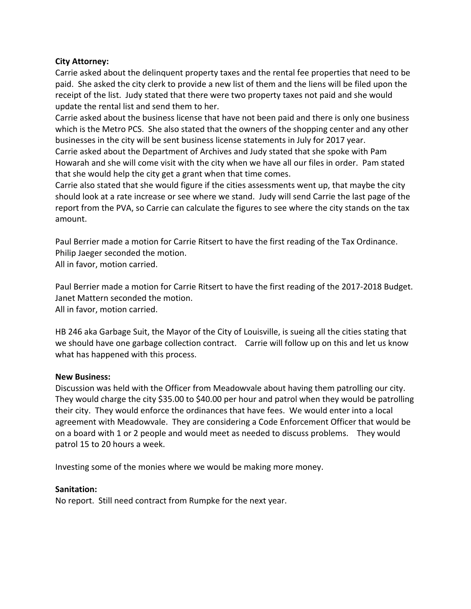# **City Attorney:**

Carrie asked about the delinguent property taxes and the rental fee properties that need to be paid. She asked the city clerk to provide a new list of them and the liens will be filed upon the receipt of the list. Judy stated that there were two property taxes not paid and she would update the rental list and send them to her.

Carrie asked about the business license that have not been paid and there is only one business which is the Metro PCS. She also stated that the owners of the shopping center and any other businesses in the city will be sent business license statements in July for 2017 year.

Carrie asked about the Department of Archives and Judy stated that she spoke with Pam Howarah and she will come visit with the city when we have all our files in order. Pam stated that she would help the city get a grant when that time comes.

Carrie also stated that she would figure if the cities assessments went up, that maybe the city should look at a rate increase or see where we stand. Judy will send Carrie the last page of the report from the PVA, so Carrie can calculate the figures to see where the city stands on the tax amount.

Paul Berrier made a motion for Carrie Ritsert to have the first reading of the Tax Ordinance. Philip Jaeger seconded the motion. All in favor, motion carried.

Paul Berrier made a motion for Carrie Ritsert to have the first reading of the 2017-2018 Budget. Janet Mattern seconded the motion. All in favor, motion carried.

HB 246 aka Garbage Suit, the Mayor of the City of Louisville, is sueing all the cities stating that we should have one garbage collection contract. Carrie will follow up on this and let us know what has happened with this process.

### **New Business:**

Discussion was held with the Officer from Meadowvale about having them patrolling our city. They would charge the city \$35.00 to \$40.00 per hour and patrol when they would be patrolling their city. They would enforce the ordinances that have fees. We would enter into a local agreement with Meadowvale. They are considering a Code Enforcement Officer that would be on a board with 1 or 2 people and would meet as needed to discuss problems. They would patrol 15 to 20 hours a week.

Investing some of the monies where we would be making more money.

#### **Sanitation:**

No report. Still need contract from Rumpke for the next year.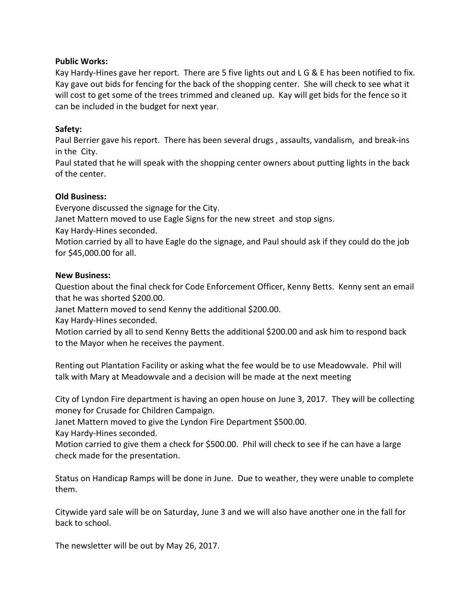# **Public Works:**

Kay Hardy-Hines gave her report. There are 5 five lights out and  $L G & E$  has been notified to fix. Kay gave out bids for fencing for the back of the shopping center. She will check to see what it will cost to get some of the trees trimmed and cleaned up. Kay will get bids for the fence so it can be included in the budget for next year.

# **Safety:**

Paul Berrier gave his report. There has been several drugs, assaults, vandalism, and break-ins in the City.

Paul stated that he will speak with the shopping center owners about putting lights in the back of the center.

# **Old Business:**

Everyone discussed the signage for the City.

Janet Mattern moved to use Eagle Signs for the new street and stop signs.

Kay Hardy-Hines seconded.

Motion carried by all to have Eagle do the signage, and Paul should ask if they could do the job for \$45,000.00 for all.

# **New Business:**

Question about the final check for Code Enforcement Officer, Kenny Betts. Kenny sent an email that he was shorted \$200.00.

Janet Mattern moved to send Kenny the additional \$200.00.

Kay Hardy-Hines seconded.

Motion carried by all to send Kenny Betts the additional \$200.00 and ask him to respond back to the Mayor when he receives the payment.

Renting out Plantation Facility or asking what the fee would be to use Meadowvale. Phil will talk with Mary at Meadowvale and a decision will be made at the next meeting

City of Lyndon Fire department is having an open house on June 3, 2017. They will be collecting money for Crusade for Children Campaign.

Janet Mattern moved to give the Lyndon Fire Department \$500.00.

Kay Hardy-Hines seconded.

Motion carried to give them a check for \$500.00. Phil will check to see if he can have a large check made for the presentation.

Status on Handicap Ramps will be done in June. Due to weather, they were unable to complete them.

Citywide yard sale will be on Saturday, June 3 and we will also have another one in the fall for back to school.

The newsletter will be out by May 26, 2017.